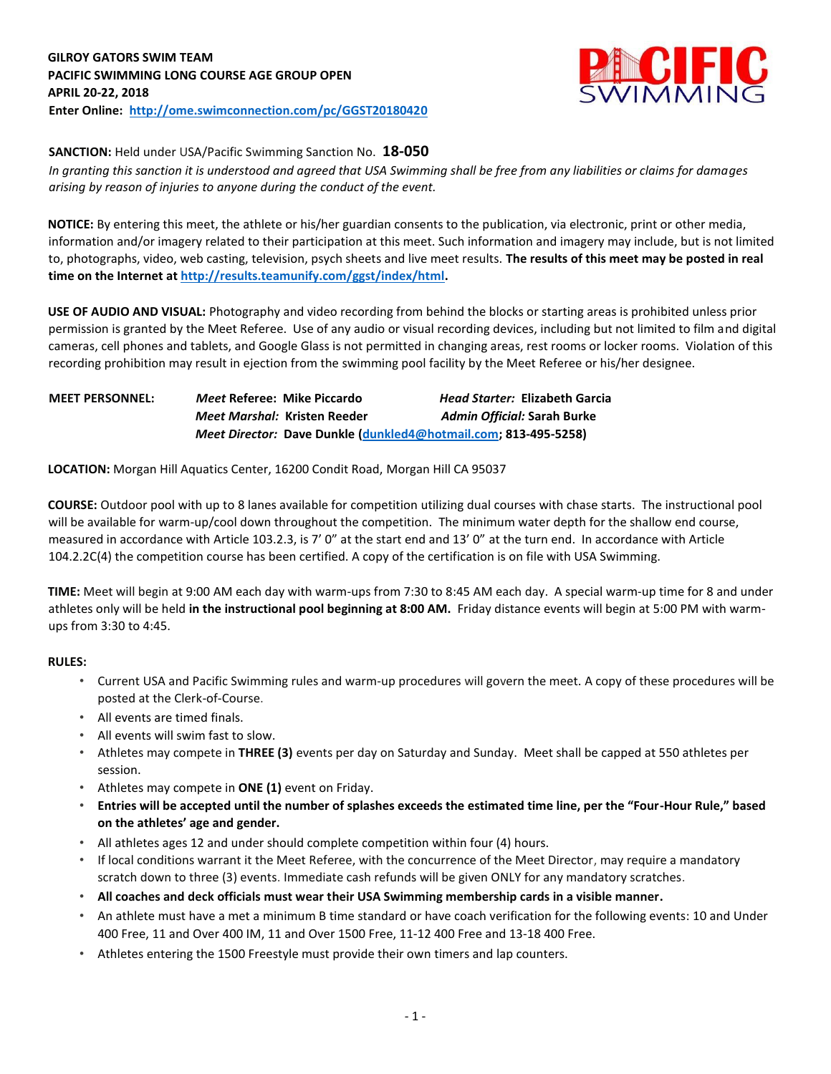

## **SANCTION:** Held under USA/Pacific Swimming Sanction No. **18-050**

*In granting this sanction it is understood and agreed that USA Swimming shall be free from any liabilities or claims for damages arising by reason of injuries to anyone during the conduct of the event.* 

**NOTICE:** By entering this meet, the athlete or his/her guardian consents to the publication, via electronic, print or other media, information and/or imagery related to their participation at this meet. Such information and imagery may include, but is not limited to, photographs, video, web casting, television, psych sheets and live meet results. **The results of this meet may be posted in real time on the Internet [at http://results.teamunify.com/ggst/index/html.](http://results.teamunify.com/ggst/index/html)** 

**USE OF AUDIO AND VISUAL:** Photography and video recording from behind the blocks or starting areas is prohibited unless prior permission is granted by the Meet Referee. Use of any audio or visual recording devices, including but not limited to film and digital cameras, cell phones and tablets, and Google Glass is not permitted in changing areas, rest rooms or locker rooms. Violation of this recording prohibition may result in ejection from the swimming pool facility by the Meet Referee or his/her designee.

## **MEET PERSONNEL:** *Meet* **Referee: Mike Piccardo** *Head Starter:* **Elizabeth Garcia** *Meet Marshal:* **Kristen Reeder** *Admin Official:* **Sarah Burke** *Meet Director:* **Dave Dunkle [\(dunkled4@hotmail.com;](mailto:dunkled4@hotmail.com) 813-495-5258)**

**LOCATION:** Morgan Hill Aquatics Center, 16200 Condit Road, Morgan Hill CA 95037

**COURSE:** Outdoor pool with up to 8 lanes available for competition utilizing dual courses with chase starts. The instructional pool will be available for warm-up/cool down throughout the competition. The minimum water depth for the shallow end course, measured in accordance with Article 103.2.3, is 7' 0" at the start end and 13' 0" at the turn end. In accordance with Article 104.2.2C(4) the competition course has been certified. A copy of the certification is on file with USA Swimming.

**TIME:** Meet will begin at 9:00 AM each day with warm-ups from 7:30 to 8:45 AM each day. A special warm-up time for 8 and under athletes only will be held **in the instructional pool beginning at 8:00 AM.** Friday distance events will begin at 5:00 PM with warmups from 3:30 to 4:45.

### **RULES:**

- Current USA and Pacific Swimming rules and warm-up procedures will govern the meet. A copy of these procedures will be posted at the Clerk-of-Course.
- All events are timed finals.
- All events will swim fast to slow.
- Athletes may compete in **THREE (3)** events per day on Saturday and Sunday. Meet shall be capped at 550 athletes per session.
- Athletes may compete in **ONE (1)** event on Friday.
- **Entries will be accepted until the number of splashes exceeds the estimated time line, per the "Four-Hour Rule," based on the athletes' age and gender.**
- All athletes ages 12 and under should complete competition within four (4) hours.
- If local conditions warrant it the Meet Referee, with the concurrence of the Meet Director, may require a mandatory scratch down to three (3) events. Immediate cash refunds will be given ONLY for any mandatory scratches.
- **All coaches and deck officials must wear their USA Swimming membership cards in a visible manner.**
- An athlete must have a met a minimum B time standard or have coach verification for the following events: 10 and Under 400 Free, 11 and Over 400 IM, 11 and Over 1500 Free, 11-12 400 Free and 13-18 400 Free.
- Athletes entering the 1500 Freestyle must provide their own timers and lap counters.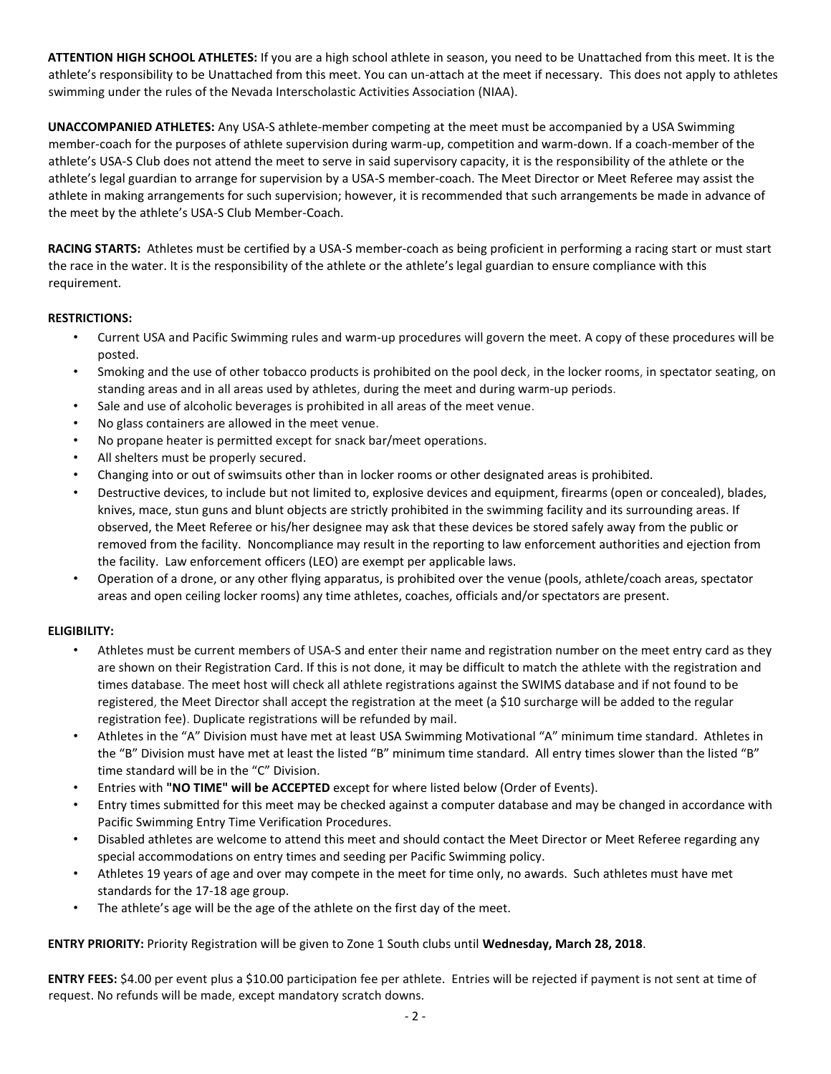**ATTENTION HIGH SCHOOL ATHLETES:** If you are a high school athlete in season, you need to be Unattached from this meet. It is the athlete's responsibility to be Unattached from this meet. You can un-attach at the meet if necessary. This does not apply to athletes swimming under the rules of the Nevada Interscholastic Activities Association (NIAA).

**UNACCOMPANIED ATHLETES:** Any USA-S athlete-member competing at the meet must be accompanied by a USA Swimming member-coach for the purposes of athlete supervision during warm-up, competition and warm-down. If a coach-member of the athlete's USA-S Club does not attend the meet to serve in said supervisory capacity, it is the responsibility of the athlete or the athlete's legal guardian to arrange for supervision by a USA-S member-coach. The Meet Director or Meet Referee may assist the athlete in making arrangements for such supervision; however, it is recommended that such arrangements be made in advance of the meet by the athlete's USA-S Club Member-Coach.

**RACING STARTS:** Athletes must be certified by a USA-S member-coach as being proficient in performing a racing start or must start the race in the water. It is the responsibility of the athlete or the athlete's legal guardian to ensure compliance with this requirement.

## **RESTRICTIONS:**

- Current USA and Pacific Swimming rules and warm-up procedures will govern the meet. A copy of these procedures will be posted.
- Smoking and the use of other tobacco products is prohibited on the pool deck, in the locker rooms, in spectator seating, on standing areas and in all areas used by athletes, during the meet and during warm-up periods.
- Sale and use of alcoholic beverages is prohibited in all areas of the meet venue.
- No glass containers are allowed in the meet venue.
- No propane heater is permitted except for snack bar/meet operations.
- All shelters must be properly secured.
- Changing into or out of swimsuits other than in locker rooms or other designated areas is prohibited.
- Destructive devices, to include but not limited to, explosive devices and equipment, firearms (open or concealed), blades, knives, mace, stun guns and blunt objects are strictly prohibited in the swimming facility and its surrounding areas. If observed, the Meet Referee or his/her designee may ask that these devices be stored safely away from the public or removed from the facility. Noncompliance may result in the reporting to law enforcement authorities and ejection from the facility. Law enforcement officers (LEO) are exempt per applicable laws.
- Operation of a drone, or any other flying apparatus, is prohibited over the venue (pools, athlete/coach areas, spectator areas and open ceiling locker rooms) any time athletes, coaches, officials and/or spectators are present.

### **ELIGIBILITY:**

- Athletes must be current members of USA-S and enter their name and registration number on the meet entry card as they are shown on their Registration Card. If this is not done, it may be difficult to match the athlete with the registration and times database. The meet host will check all athlete registrations against the SWIMS database and if not found to be registered, the Meet Director shall accept the registration at the meet (a \$10 surcharge will be added to the regular registration fee). Duplicate registrations will be refunded by mail.
- Athletes in the "A" Division must have met at least USA Swimming Motivational "A" minimum time standard. Athletes in the "B" Division must have met at least the listed "B" minimum time standard. All entry times slower than the listed "B" time standard will be in the "C" Division.
- Entries with **"NO TIME" will be ACCEPTED** except for where listed below (Order of Events).
- Entry times submitted for this meet may be checked against a computer database and may be changed in accordance with Pacific Swimming Entry Time Verification Procedures.
- Disabled athletes are welcome to attend this meet and should contact the Meet Director or Meet Referee regarding any special accommodations on entry times and seeding per Pacific Swimming policy.
- Athletes 19 years of age and over may compete in the meet for time only, no awards. Such athletes must have met standards for the 17-18 age group.
- The athlete's age will be the age of the athlete on the first day of the meet.

**ENTRY PRIORITY:** Priority Registration will be given to Zone 1 South clubs until **Wednesday, March 28, 2018**.

**ENTRY FEES:** \$4.00 per event plus a \$10.00 participation fee per athlete. Entries will be rejected if payment is not sent at time of request. No refunds will be made, except mandatory scratch downs.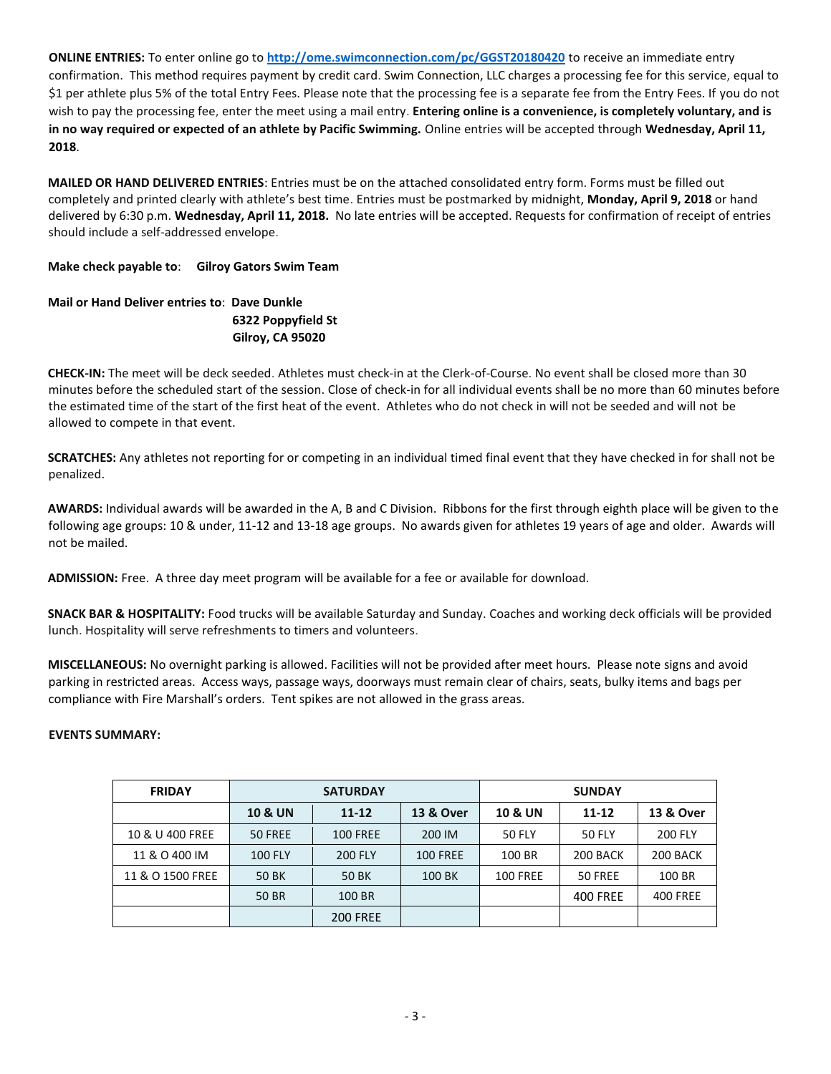**ONLINE ENTRIES:** To enter online go to **<http://ome.swimconnection.com/pc/GGST20180420>** to receive an immediate entry confirmation. This method requires payment by credit card. Swim Connection, LLC charges a processing fee for this service, equal to \$1 per athlete plus 5% of the total Entry Fees. Please note that the processing fee is a separate fee from the Entry Fees. If you do not wish to pay the processing fee, enter the meet using a mail entry. **Entering online is a convenience, is completely voluntary, and is in no way required or expected of an athlete by Pacific Swimming.** Online entries will be accepted through **Wednesday, April 11, 2018**.

**MAILED OR HAND DELIVERED ENTRIES**: Entries must be on the attached consolidated entry form. Forms must be filled out completely and printed clearly with athlete's best time. Entries must be postmarked by midnight, **Monday, April 9, 2018** or hand delivered by 6:30 p.m. **Wednesday, April 11, 2018.** No late entries will be accepted. Requests for confirmation of receipt of entries should include a self-addressed envelope.

**Make check payable to**: **Gilroy Gators Swim Team** 

# **Mail or Hand Deliver entries to**: **Dave Dunkle 6322 Poppyfield St Gilroy, CA 95020**

**CHECK-IN:** The meet will be deck seeded. Athletes must check-in at the Clerk-of-Course. No event shall be closed more than 30 minutes before the scheduled start of the session. Close of check-in for all individual events shall be no more than 60 minutes before the estimated time of the start of the first heat of the event. Athletes who do not check in will not be seeded and will not be allowed to compete in that event.

**SCRATCHES:** Any athletes not reporting for or competing in an individual timed final event that they have checked in for shall not be penalized.

**AWARDS:** Individual awards will be awarded in the A, B and C Division. Ribbons for the first through eighth place will be given to the following age groups: 10 & under, 11-12 and 13-18 age groups. No awards given for athletes 19 years of age and older. Awards will not be mailed.

**ADMISSION:** Free. A three day meet program will be available for a fee or available for download.

**SNACK BAR & HOSPITALITY:** Food trucks will be available Saturday and Sunday. Coaches and working deck officials will be provided lunch. Hospitality will serve refreshments to timers and volunteers.

**MISCELLANEOUS:** No overnight parking is allowed. Facilities will not be provided after meet hours. Please note signs and avoid parking in restricted areas. Access ways, passage ways, doorways must remain clear of chairs, seats, bulky items and bags per compliance with Fire Marshall's orders. Tent spikes are not allowed in the grass areas.

## **EVENTS SUMMARY:**

| <b>FRIDAY</b>    |                    | <b>SATURDAY</b> |                      | <b>SUNDAY</b>             |                 |                      |  |  |  |
|------------------|--------------------|-----------------|----------------------|---------------------------|-----------------|----------------------|--|--|--|
|                  | <b>10 &amp; UN</b> | $11 - 12$       | <b>13 &amp; Over</b> | <b>10 &amp; UN</b>        | $11 - 12$       | <b>13 &amp; Over</b> |  |  |  |
| 10 & U 400 FREE  | 50 FREE            | <b>100 FREE</b> | 200 IM               | <b>50 FLY</b>             | <b>50 FLY</b>   | <b>200 FLY</b>       |  |  |  |
| 11 & O 400 IM    | <b>100 FLY</b>     | <b>200 FLY</b>  | <b>100 FREE</b>      | 100 BR                    | 200 BACK        | 200 BACK             |  |  |  |
| 11 & O 1500 FREE | 50 BK              | 50 BK           |                      | 100 BK<br><b>100 FREE</b> |                 | 100 BR               |  |  |  |
|                  | 50 BR              | 100 BR          |                      |                           | <b>400 FREE</b> | <b>400 FREE</b>      |  |  |  |
|                  |                    | <b>200 FREE</b> |                      |                           |                 |                      |  |  |  |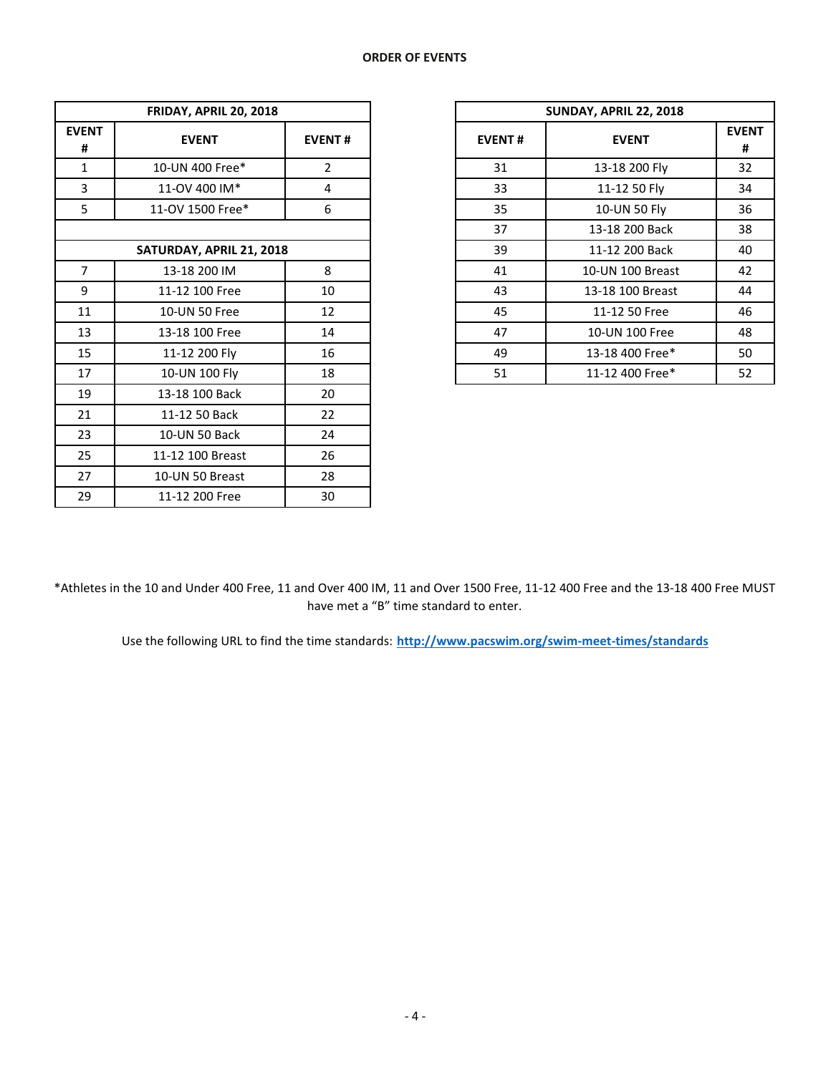| FRIDAY, APRIL 20, 2018   |                  |               |  |  |  |  |  |  |  |
|--------------------------|------------------|---------------|--|--|--|--|--|--|--|
| <b>EVENT</b><br>#        | <b>EVENT</b>     | <b>EVENT#</b> |  |  |  |  |  |  |  |
| $\mathbf{1}$             | 10-UN 400 Free*  | 2             |  |  |  |  |  |  |  |
| 3                        | 11-OV 400 IM*    | 4             |  |  |  |  |  |  |  |
| 5                        | 11-OV 1500 Free* | 6             |  |  |  |  |  |  |  |
|                          |                  |               |  |  |  |  |  |  |  |
| SATURDAY, APRIL 21, 2018 |                  |               |  |  |  |  |  |  |  |
| 7                        | 13-18 200 IM     | 8             |  |  |  |  |  |  |  |
| 9                        | 11-12 100 Free   | 10            |  |  |  |  |  |  |  |
| 11                       | 10-UN 50 Free    | 12            |  |  |  |  |  |  |  |
| 13                       | 13-18 100 Free   | 14            |  |  |  |  |  |  |  |
| 15                       | 11-12 200 Fly    | 16            |  |  |  |  |  |  |  |
| 17                       | 10-UN 100 Fly    | 18            |  |  |  |  |  |  |  |
| 19                       | 13-18 100 Back   | 20            |  |  |  |  |  |  |  |
| 21                       | 11-12 50 Back    | 22            |  |  |  |  |  |  |  |
| 23                       | 10-UN 50 Back    | 24            |  |  |  |  |  |  |  |
| 25                       | 11-12 100 Breast | 26            |  |  |  |  |  |  |  |
| 27                       | 10-UN 50 Breast  | 28            |  |  |  |  |  |  |  |
| 29                       | 11-12 200 Free   | 30            |  |  |  |  |  |  |  |

|                          | FRIDAY, APRIL 20, 2018 |               | SUNDAY, APRIL 22, 2018 |                  |                   |  |  |  |
|--------------------------|------------------------|---------------|------------------------|------------------|-------------------|--|--|--|
| <b>ENT</b><br>#          | <b>EVENT</b>           | <b>EVENT#</b> | <b>EVENT#</b>          | <b>EVENT</b>     | <b>EVENT</b><br># |  |  |  |
| 1                        | 10-UN 400 Free*        | 2             | 31                     | 13-18 200 Fly    | 32                |  |  |  |
| 3                        | 11-OV 400 IM*          | 4             | 33                     | 11-12 50 Fly     | 34                |  |  |  |
| 5                        | 11-OV 1500 Free*       | 6             | 35                     | 10-UN 50 Fly     | 36                |  |  |  |
|                          |                        |               | 37                     | 13-18 200 Back   | 38                |  |  |  |
| SATURDAY, APRIL 21, 2018 |                        |               | 39                     | 11-12 200 Back   | 40                |  |  |  |
| 7                        | 13-18 200 IM           | 8             | 41                     | 10-UN 100 Breast | 42                |  |  |  |
| 9                        | 11-12 100 Free         | 10            | 43                     | 13-18 100 Breast | 44                |  |  |  |
| 11                       | 10-UN 50 Free          | 12            | 45                     | 11-12 50 Free    | 46                |  |  |  |
| 13                       | 13-18 100 Free         | 14            | 47                     | 10-UN 100 Free   | 48                |  |  |  |
| 15                       | 11-12 200 Fly          | 16            | 49                     | 13-18 400 Free*  | 50                |  |  |  |
| 17                       | 10-UN 100 Fly<br>18    |               | 51                     | 11-12 400 Free*  | 52                |  |  |  |

\*Athletes in the 10 and Under 400 Free, 11 and Over 400 IM, 11 and Over 1500 Free, 11-12 400 Free and the 13-18 400 Free MUST have met a "B" time standard to enter.

Use the following URL to find the time standards[:](http://www.pacswim.org/swim-meet-times/standards) **<http://www.pacswim.org/swim-meet-times/standards>**